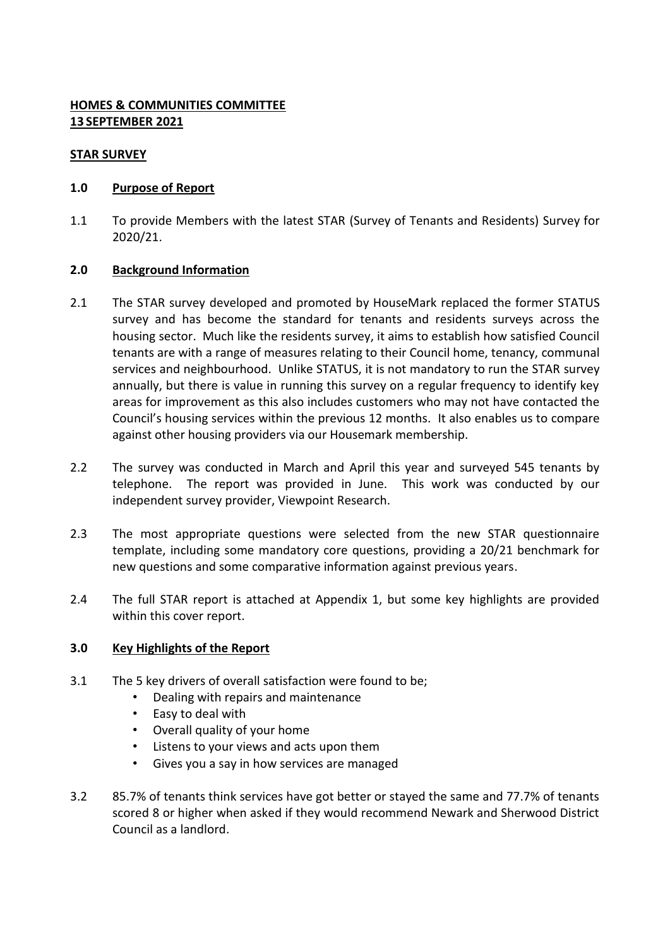# **HOMES & COMMUNITIES COMMITTEE 13 SEPTEMBER 2021**

# **STAR SURVEY**

# **1.0 Purpose of Report**

1.1 To provide Members with the latest STAR (Survey of Tenants and Residents) Survey for 2020/21.

# **2.0 Background Information**

- 2.1 The STAR survey developed and promoted by HouseMark replaced the former STATUS survey and has become the standard for tenants and residents surveys across the housing sector. Much like the residents survey, it aims to establish how satisfied Council tenants are with a range of measures relating to their Council home, tenancy, communal services and neighbourhood. Unlike STATUS, it is not mandatory to run the STAR survey annually, but there is value in running this survey on a regular frequency to identify key areas for improvement as this also includes customers who may not have contacted the Council's housing services within the previous 12 months. It also enables us to compare against other housing providers via our Housemark membership.
- 2.2 The survey was conducted in March and April this year and surveyed 545 tenants by telephone. The report was provided in June. This work was conducted by our independent survey provider, Viewpoint Research.
- 2.3 The most appropriate questions were selected from the new STAR questionnaire template, including some mandatory core questions, providing a 20/21 benchmark for new questions and some comparative information against previous years.
- 2.4 The full STAR report is attached at Appendix 1, but some key highlights are provided within this cover report.

### **3.0 Key Highlights of the Report**

- 3.1 The 5 key drivers of overall satisfaction were found to be;
	- Dealing with repairs and maintenance
	- Easy to deal with
	- Overall quality of your home
	- Listens to your views and acts upon them
	- Gives you a say in how services are managed
- 3.2 85.7% of tenants think services have got better or stayed the same and 77.7% of tenants scored 8 or higher when asked if they would recommend Newark and Sherwood District Council as a landlord.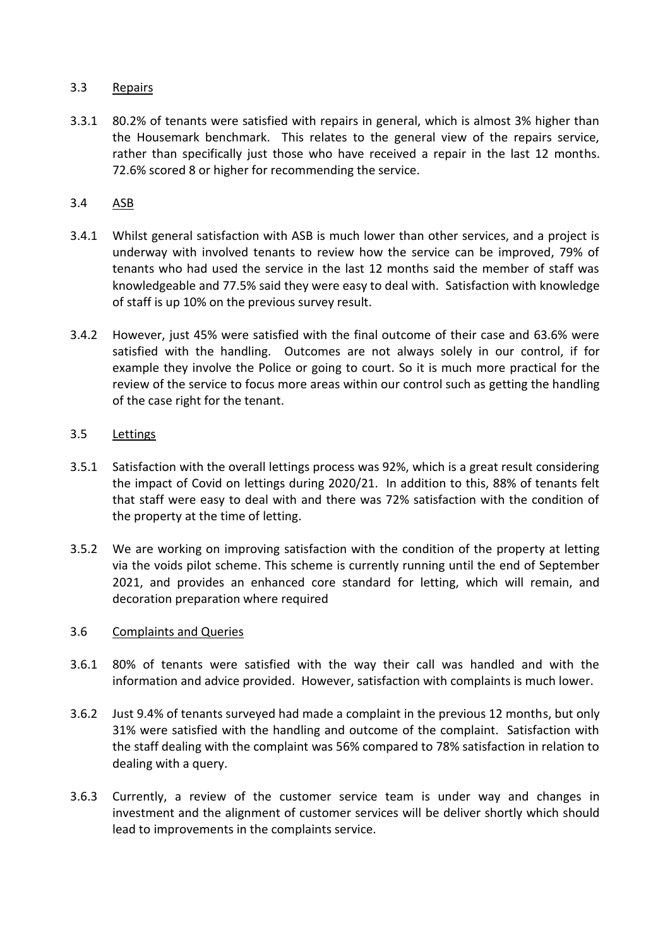# 3.3 Repairs

3.3.1 80.2% of tenants were satisfied with repairs in general, which is almost 3% higher than the Housemark benchmark. This relates to the general view of the repairs service, rather than specifically just those who have received a repair in the last 12 months. 72.6% scored 8 or higher for recommending the service.

# 3.4 ASB

- 3.4.1 Whilst general satisfaction with ASB is much lower than other services, and a project is underway with involved tenants to review how the service can be improved, 79% of tenants who had used the service in the last 12 months said the member of staff was knowledgeable and 77.5% said they were easy to deal with. Satisfaction with knowledge of staff is up 10% on the previous survey result.
- 3.4.2 However, just 45% were satisfied with the final outcome of their case and 63.6% were satisfied with the handling. Outcomes are not always solely in our control, if for example they involve the Police or going to court. So it is much more practical for the review of the service to focus more areas within our control such as getting the handling of the case right for the tenant.

### 3.5 Lettings

- 3.5.1 Satisfaction with the overall lettings process was 92%, which is a great result considering the impact of Covid on lettings during 2020/21. In addition to this, 88% of tenants felt that staff were easy to deal with and there was 72% satisfaction with the condition of the property at the time of letting.
- 3.5.2 We are working on improving satisfaction with the condition of the property at letting via the voids pilot scheme. This scheme is currently running until the end of September 2021, and provides an enhanced core standard for letting, which will remain, and decoration preparation where required

### 3.6 Complaints and Queries

- 3.6.1 80% of tenants were satisfied with the way their call was handled and with the information and advice provided. However, satisfaction with complaints is much lower.
- 3.6.2 Just 9.4% of tenants surveyed had made a complaint in the previous 12 months, but only 31% were satisfied with the handling and outcome of the complaint. Satisfaction with the staff dealing with the complaint was 56% compared to 78% satisfaction in relation to dealing with a query.
- 3.6.3 Currently, a review of the customer service team is under way and changes in investment and the alignment of customer services will be deliver shortly which should lead to improvements in the complaints service.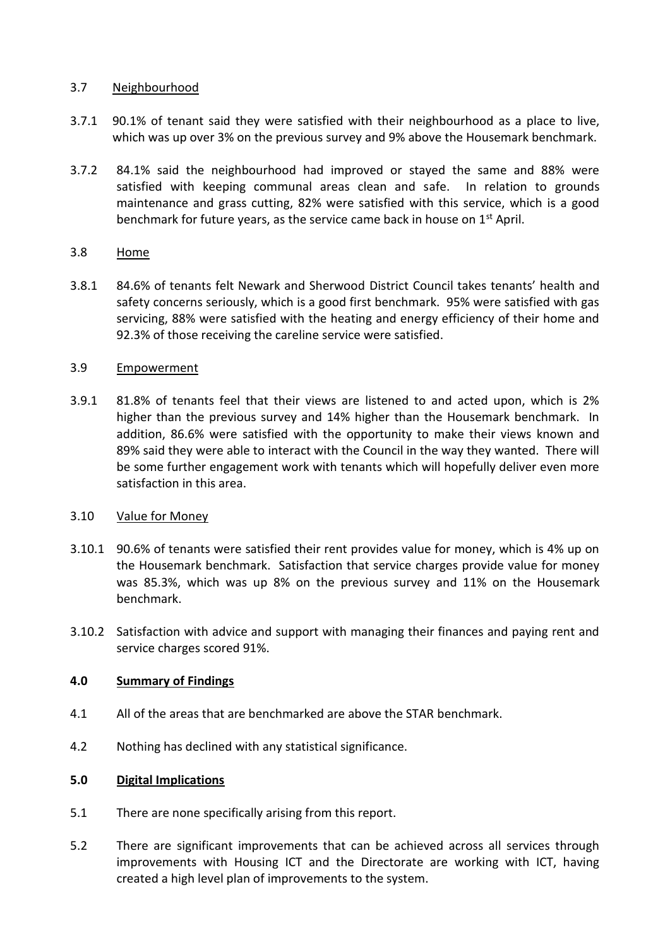# 3.7 Neighbourhood

- 3.7.1 90.1% of tenant said they were satisfied with their neighbourhood as a place to live, which was up over 3% on the previous survey and 9% above the Housemark benchmark.
- 3.7.2 84.1% said the neighbourhood had improved or stayed the same and 88% were satisfied with keeping communal areas clean and safe. In relation to grounds maintenance and grass cutting, 82% were satisfied with this service, which is a good benchmark for future years, as the service came back in house on 1st April.

# 3.8 Home

3.8.1 84.6% of tenants felt Newark and Sherwood District Council takes tenants' health and safety concerns seriously, which is a good first benchmark. 95% were satisfied with gas servicing, 88% were satisfied with the heating and energy efficiency of their home and 92.3% of those receiving the careline service were satisfied.

# 3.9 Empowerment

3.9.1 81.8% of tenants feel that their views are listened to and acted upon, which is 2% higher than the previous survey and 14% higher than the Housemark benchmark. In addition, 86.6% were satisfied with the opportunity to make their views known and 89% said they were able to interact with the Council in the way they wanted. There will be some further engagement work with tenants which will hopefully deliver even more satisfaction in this area.

### 3.10 Value for Money

- 3.10.1 90.6% of tenants were satisfied their rent provides value for money, which is 4% up on the Housemark benchmark. Satisfaction that service charges provide value for money was 85.3%, which was up 8% on the previous survey and 11% on the Housemark benchmark.
- 3.10.2 Satisfaction with advice and support with managing their finances and paying rent and service charges scored 91%.

# **4.0 Summary of Findings**

- 4.1 All of the areas that are benchmarked are above the STAR benchmark.
- 4.2 Nothing has declined with any statistical significance.

### **5.0 Digital Implications**

- 5.1 There are none specifically arising from this report.
- 5.2 There are significant improvements that can be achieved across all services through improvements with Housing ICT and the Directorate are working with ICT, having created a high level plan of improvements to the system.